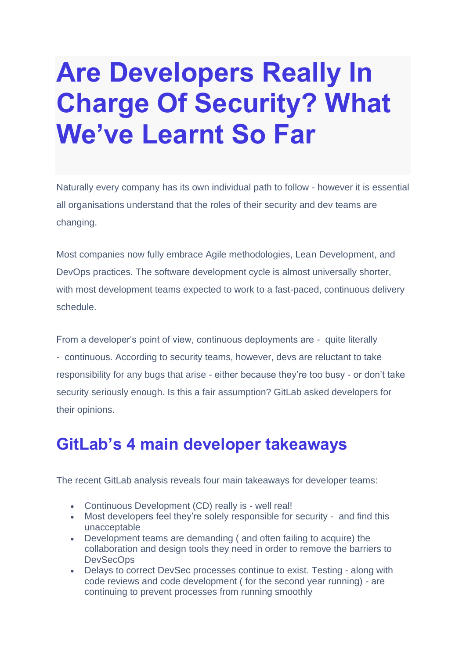# **Are Developers Really In Charge Of Security? What We've Learnt So Far**

Naturally every company has its own individual path to follow - however it is essential all organisations understand that the roles of their security and dev teams are changing.

Most companies now fully embrace Agile methodologies, Lean Development, and DevOps practices. The software development cycle is almost universally shorter, with most development teams expected to work to a fast-paced, continuous delivery schedule.

From a developer's point of view, continuous deployments are - quite literally - continuous. According to security teams, however, devs are reluctant to take responsibility for any bugs that arise - either because they're too busy - or don't take security seriously enough. Is this a fair assumption? GitLab asked developers for their opinions.

### **GitLab's 4 main developer takeaways**

The recent GitLab analysis reveals four main takeaways for developer teams:

- Continuous Development (CD) really is well real!
- Most developers feel they're solely responsible for security and find this unacceptable
- Development teams are demanding ( and often failing to acquire) the collaboration and design tools they need in order to remove the barriers to **DevSecOps**
- Delays to correct DevSec processes continue to exist. Testing along with code reviews and code development ( for the second year running) - are continuing to prevent processes from running smoothly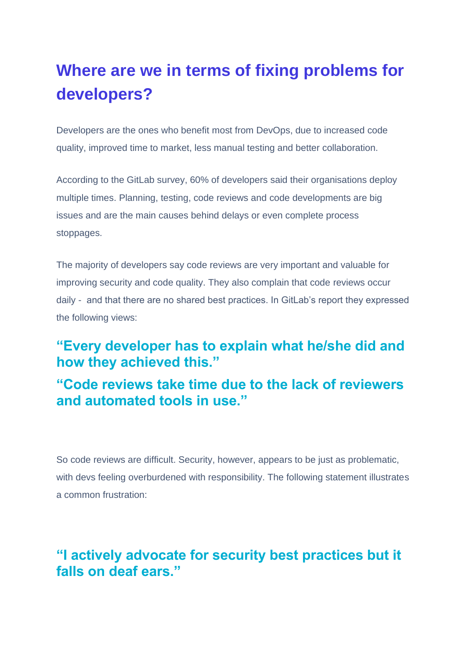## **Where are we in terms of fixing problems for developers?**

Developers are the ones who benefit most from DevOps, due to increased code quality, improved time to market, less manual testing and better collaboration.

According to the GitLab survey, 60% of developers said their organisations deploy multiple times. Planning, testing, code reviews and code developments are big issues and are the main causes behind delays or even complete process stoppages.

The majority of developers say code reviews are very important and valuable for improving security and code quality. They also complain that code reviews occur daily - and that there are no shared best practices. In GitLab's report they expressed the following views:

#### **"Every developer has to explain what he/she did and how they achieved this."**

#### **"Code reviews take time due to the lack of reviewers and automated tools in use."**

So code reviews are difficult. Security, however, appears to be just as problematic, with devs feeling overburdened with responsibility. The following statement illustrates a common frustration:

#### **"I actively advocate for security best practices but it falls on deaf ears."**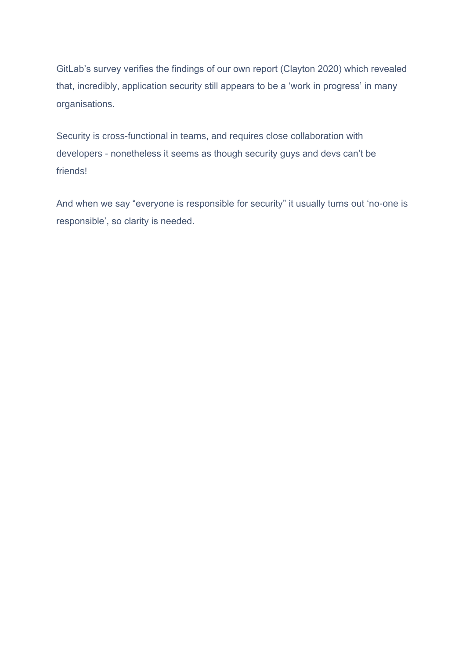GitLab's survey verifies the findings of our own report (Clayton 2020) which revealed that, incredibly, application security still appears to be a 'work in progress' in many organisations.

Security is cross-functional in teams, and requires close collaboration with developers - nonetheless it seems as though security guys and devs can't be friends!

And when we say "everyone is responsible for security" it usually turns out 'no-one is responsible', so clarity is needed.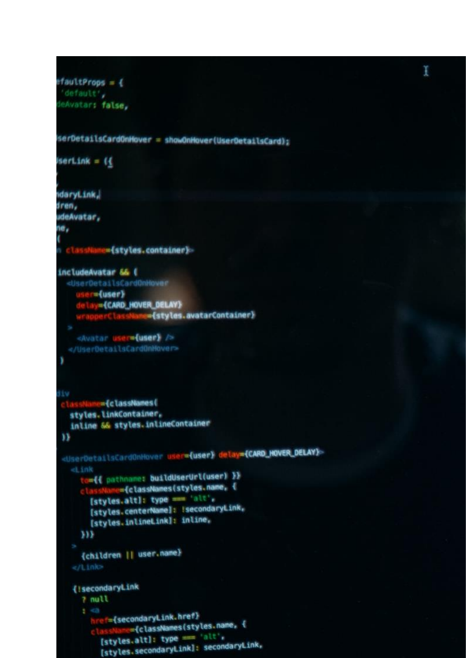```
etaultProps = {
default',
deAvatar: false,
iserDetailsCardOnHover = showOnHover(UserDetailsCard);
HerLink = Hidaryl.ink,
dren,
udeAvatar,
ne,
n classMamem{styles.container}
includeAvatar && (
  <UserDetailsCardOnHover
    user={user}<br>delay={CARD_HOVER_DELAY}
  wrapperClassName={styles.avatarContainer}
     <Avatar user={user} />
   </UserDetailsCardOnHover>
 ١
Jiv
    sssName={classNames(
   styles.linkContainer,
   inline && styles.inlineContainer
 11
 <UserDetailsCardOnHover user={user} delay={CARD_HOVER_DELAY}
   <Link
      to={{ pathname: buildUserUrl(user) }}<br>className={classNames(styles.name, {
        (styles.alt): type === 'alt',
        [styles.centerName]: !secondaryLink,
        [styles.inlineLink]: inline,
      \overline{111}(children || user.name)
    { !secondaryLink
      ? nutt
      1 - 43href={secondaryLink.href}<br>className={classNames(styles.name, {
           (styles.alt): type == 'alt',
           [styles.secondaryLink]: secondaryLink,
```
Ĩ